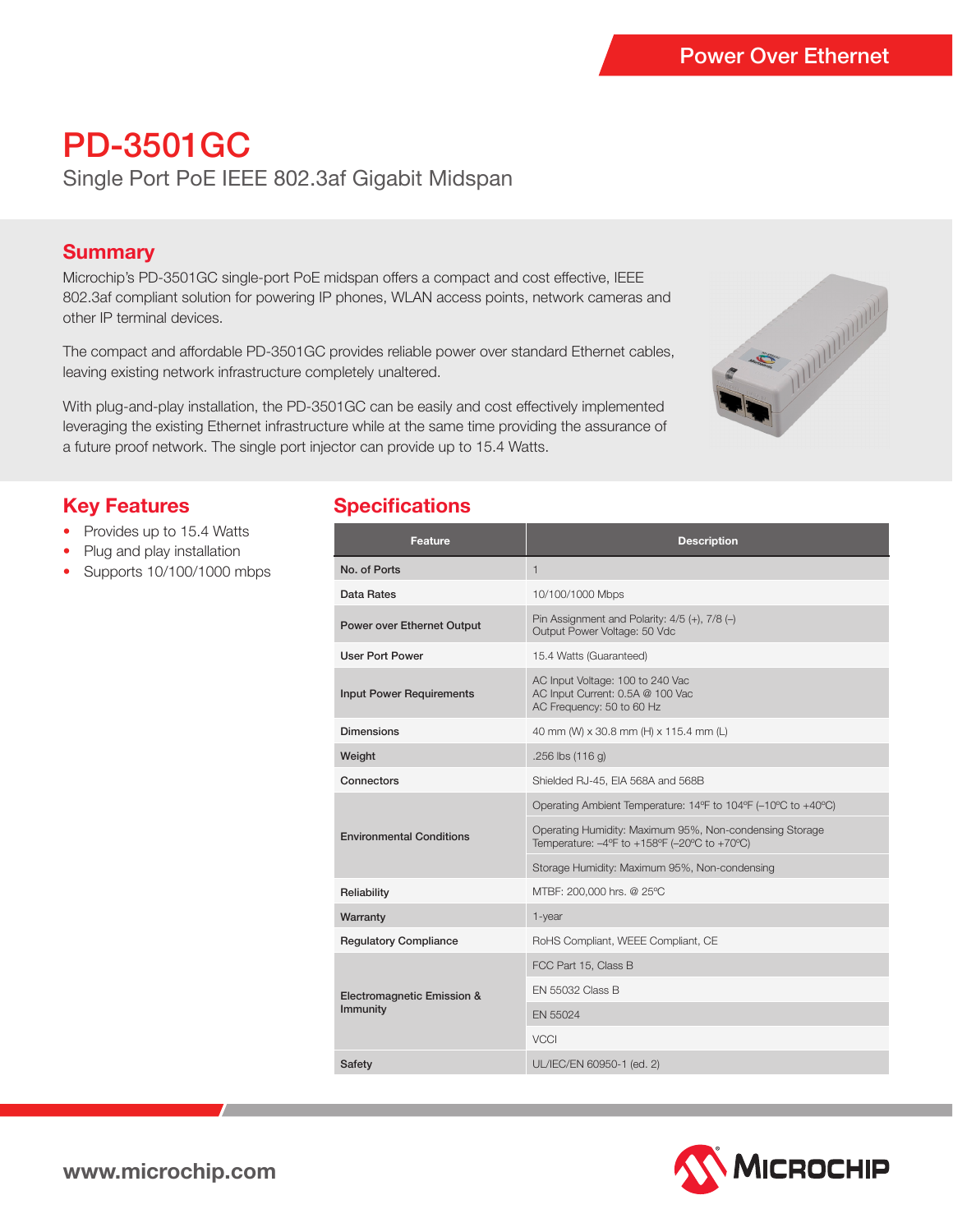# PD-3501GC

Single Port PoE IEEE 802.3af Gigabit Midspan

### **Summary**

Microchip's PD-3501GC single-port PoE midspan offers a compact and cost effective, IEEE 802.3af compliant solution for powering IP phones, WLAN access points, network cameras and other IP terminal devices.

The compact and affordable PD-3501GC provides reliable power over standard Ethernet cables, leaving existing network infrastructure completely unaltered.

With plug-and-play installation, the PD-3501GC can be easily and cost effectively implemented leveraging the existing Ethernet infrastructure while at the same time providing the assurance of a future proof network. The single port injector can provide up to 15.4 Watts.



# **Key Features**

- Provides up to 15.4 Watts
- Plug and play installation
- Supports 10/100/1000 mbps

## **Specifications**

| Feature                                | <b>Description</b>                                                                                      |  |
|----------------------------------------|---------------------------------------------------------------------------------------------------------|--|
| No. of Ports                           | $\mathbf{1}$                                                                                            |  |
| Data Rates                             | 10/100/1000 Mbps                                                                                        |  |
| Power over Ethernet Output             | Pin Assignment and Polarity: $4/5$ (+), $7/8$ (-)<br>Output Power Voltage: 50 Vdc                       |  |
| <b>User Port Power</b>                 | 15.4 Watts (Guaranteed)                                                                                 |  |
| <b>Input Power Requirements</b>        | AC Input Voltage: 100 to 240 Vac<br>AC Input Current: 0.5A @ 100 Vac<br>AC Frequency: 50 to 60 Hz       |  |
| <b>Dimensions</b>                      | 40 mm (W) x 30.8 mm (H) x 115.4 mm (L)                                                                  |  |
| Weight                                 | $.256$ lbs $(116q)$                                                                                     |  |
| Connectors                             | Shielded RJ-45, EIA 568A and 568B                                                                       |  |
| <b>Environmental Conditions</b>        | Operating Ambient Temperature: 14°F to 104°F (-10°C to +40°C)                                           |  |
|                                        | Operating Humidity: Maximum 95%, Non-condensing Storage<br>Temperature: -4°F to +158°F (-20°C to +70°C) |  |
|                                        | Storage Humidity: Maximum 95%, Non-condensing                                                           |  |
| Reliability                            | MTBF: 200,000 hrs. @ 25°C                                                                               |  |
| Warranty                               | 1-year                                                                                                  |  |
| <b>Regulatory Compliance</b>           | RoHS Compliant, WEEE Compliant, CE                                                                      |  |
| Electromagnetic Emission &<br>Immunity | FCC Part 15, Class B                                                                                    |  |
|                                        | <b>EN 55032 Class B</b>                                                                                 |  |
|                                        | EN 55024                                                                                                |  |
|                                        | <b>VCCI</b>                                                                                             |  |
| <b>Safety</b>                          | UL/IEC/EN 60950-1 (ed. 2)                                                                               |  |